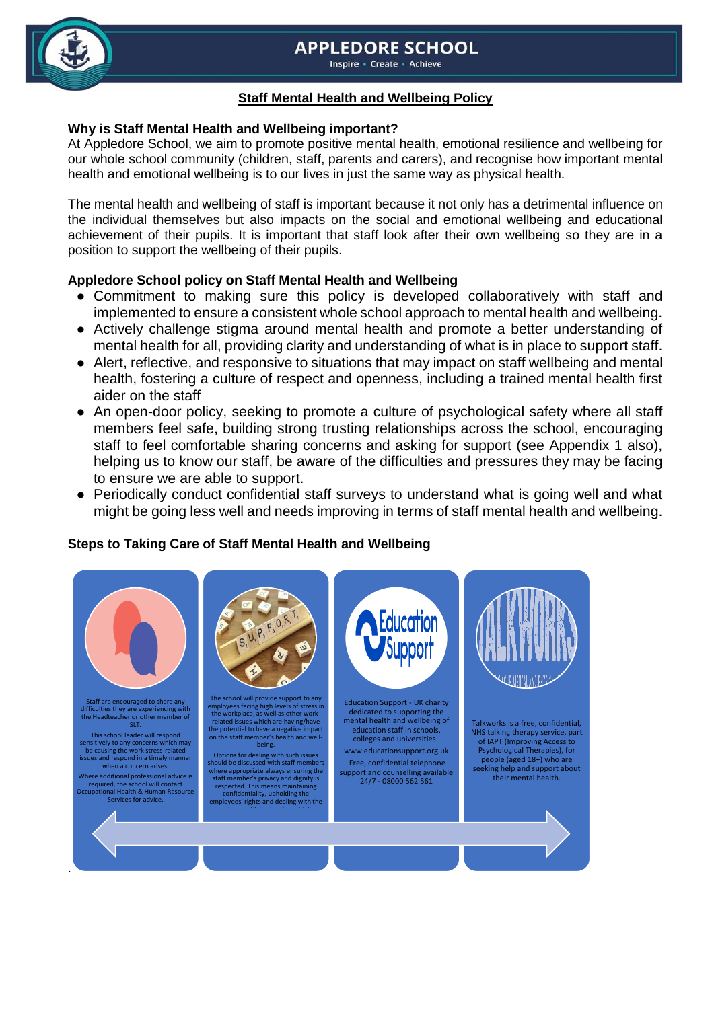# **APPLEDORE SCHOOL**

Inspire - Create - Achieve



# **Staff Mental Health and Wellbeing Policy**

### **Why is Staff Mental Health and Wellbeing important?**

At Appledore School, we aim to promote positive mental health, emotional resilience and wellbeing for our whole school community (children, staff, parents and carers), and recognise how important mental health and emotional wellbeing is to our lives in just the same way as physical health.

The mental health and wellbeing of staff is important because it not only has a detrimental influence on the individual themselves but also impacts on the social and emotional wellbeing and educational achievement of their pupils. It is important that staff look after their own wellbeing so they are in a position to support the wellbeing of their pupils.

# **Appledore School policy on Staff Mental Health and Wellbeing**

- Commitment to making sure this policy is developed collaboratively with staff and implemented to ensure a consistent whole school approach to mental health and wellbeing.
- Actively challenge stigma around mental health and promote a better understanding of mental health for all, providing clarity and understanding of what is in place to support staff.
- Alert, reflective, and responsive to situations that may impact on staff wellbeing and mental health, fostering a culture of respect and openness, including a trained mental health first aider on the staff
- An open-door policy, seeking to promote a culture of psychological safety where all staff members feel safe, building strong trusting relationships across the school, encouraging staff to feel comfortable sharing concerns and asking for support (see Appendix 1 also), helping us to know our staff, be aware of the difficulties and pressures they may be facing to ensure we are able to support.
- Periodically conduct confidential staff surveys to understand what is going well and what might be going less well and needs improving in terms of staff mental health and wellbeing.

# **Steps to Taking Care of Staff Mental Health and Wellbeing**